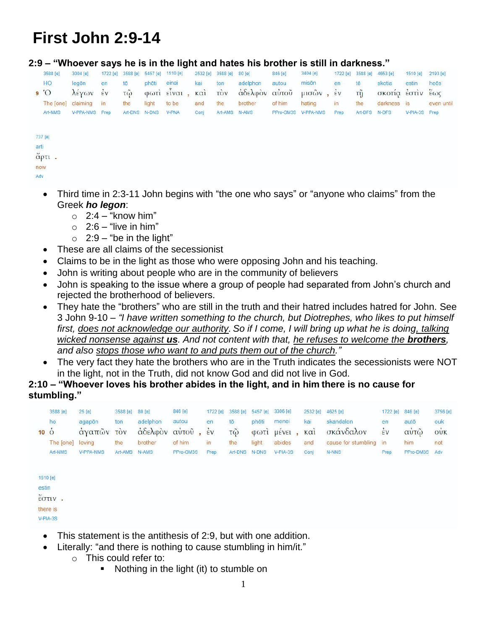# **First John 2:9-14**

#### **2:9 – "Whoever says he is in the light and hates his brother is still in darkness."**

|      | 3588 [e]   | 3004 [e]       | 1722 [e]       |                  | 3588 [e] 5457 [e] | 1510 [e]    | 2532 [e]    | 3588 [e] | 80[e]         | 846 [e]   | 3404 [e]     | 1722 [e]      | 3588 [e] | 4653 [e]         | 1510 [e]      | 2193 [e]   |
|------|------------|----------------|----------------|------------------|-------------------|-------------|-------------|----------|---------------|-----------|--------------|---------------|----------|------------------|---------------|------------|
|      | HO         | legon          | en             | tō               | photi             | einai       | kai         | ton      | adelphon      | autou     | misön        | en            | tē       | skotia           | estin         | heōs       |
|      | $^{\circ}$ | λέγων          | $\frac{2}{5}v$ | $\tilde{\omega}$ |                   | φωτι είναι, | $k\alpha i$ | τòν      | άδελφον αυτού |           | $μισων$ , έν |               | τỹ       | σκοτία έστιν έως |               |            |
|      | The [one]  | claiming       | $\mathbf{in}$  | the              | light             | to be       | and         | the      | brother       | of him    | hating       | $\mathsf{in}$ | the      | darkness is      |               | even until |
|      | Art-NMS    | V-PPA-NMS Prep |                | Art-DNS          | N-DNS             | V-PNA       | Conj        | Art-AMS  | N-AMS         | PPro-GM3S | V-PPA-NMS    | Prep          | Art-DFS  | N-DFS            | V-PIA-3S Prep |            |
|      |            |                |                |                  |                   |             |             |          |               |           |              |               |          |                  |               |            |
|      | 737 [e]    |                |                |                  |                   |             |             |          |               |           |              |               |          |                  |               |            |
| arti |            |                |                |                  |                   |             |             |          |               |           |              |               |          |                  |               |            |
|      | άρτι.      |                |                |                  |                   |             |             |          |               |           |              |               |          |                  |               |            |
|      | now        |                |                |                  |                   |             |             |          |               |           |              |               |          |                  |               |            |
| Adv  |            |                |                |                  |                   |             |             |          |               |           |              |               |          |                  |               |            |
|      |            |                |                |                  |                   |             |             |          |               |           |              |               |          |                  |               |            |

- Third time in 2:3-11 John begins with "the one who says" or "anyone who claims" from the Greek *ho legon*:
	- $\degree$  2:4 "know him"
	- $\circ$  2:6 "live in him"
	- $\circ$  2:9 "be in the light"
- These are all claims of the secessionist
- Claims to be in the light as those who were opposing John and his teaching.
- John is writing about people who are in the community of believers
- John is speaking to the issue where a group of people had separated from John's church and rejected the brotherhood of believers.
- They hate the "brothers" who are still in the truth and their hatred includes hatred for John. See 3 John 9-10 – *"I have written something to the church, but Diotrephes, who likes to put himself first, does not acknowledge our authority. So if I come, I will bring up what he is doing, talking wicked nonsense against us.* And not content with that, he refuses to welcome the **brothers**, *and also stops those who want to and puts them out of the church."*
- The very fact they hate the brothers who are in the Truth indicates the secessionists were NOT in the light, not in the Truth, did not know God and did not live in God.

#### **2:10 – "Whoever loves his brother abides in the light, and in him there is no cause for stumbling."**

| $10\degree$ O | 3588 [e]<br>ho<br>The [one]<br>Art-NMS                       | 25 [e]<br>agapôn<br>άγαπών τον<br>loving<br>V-PPA-NMS | 3588 [e]<br>ton<br>the<br>Art-AMS | 80[e]<br>adelphon<br>αδελφον<br>brother<br>N-AMS | <b>PORTUGALIST</b><br>846 [e]<br>autou<br>αὐτοῦ,<br>of him<br>PPro-GM3S | 1722 [e]<br>en<br>$\frac{1}{5}v$<br>$\mathsf{In}$<br>Prep | 3588 [e]<br>tō<br>$\tilde{\omega}$<br>the<br>Art-DNS | 5457 [e]<br>phōti<br>$\Phi$ $\Omega$ $\Gamma$ $\Gamma$<br>light<br><b>N-DNS</b> | 3306 [e]<br>mener<br>μένει<br>abides<br>$V-PIA-3S$ | 2532 [e]<br>kai<br>$k\alpha i$<br>and<br>Conj | 4625 [e]<br>skandalon<br>σκάνδαλον<br>cause for stumbling in<br>$N-NNS$ | 1722 [e]<br>en<br>$\frac{1}{2}V$<br>Prep | 846 [e]<br>autō<br><u>ి అ</u><br>αυτω<br>him<br>PPro-DM3S | 3756 [e]<br>ouk<br>$\rightarrow$<br>OUK<br>not<br>Adv |
|---------------|--------------------------------------------------------------|-------------------------------------------------------|-----------------------------------|--------------------------------------------------|-------------------------------------------------------------------------|-----------------------------------------------------------|------------------------------------------------------|---------------------------------------------------------------------------------|----------------------------------------------------|-----------------------------------------------|-------------------------------------------------------------------------|------------------------------------------|-----------------------------------------------------------|-------------------------------------------------------|
| estin         | 1510 [e]<br>$\check{\epsilon}$ OTIV.<br>there is<br>V-PIA-3S |                                                       |                                   |                                                  |                                                                         |                                                           |                                                      |                                                                                 |                                                    |                                               |                                                                         |                                          |                                                           |                                                       |

- This statement is the antithesis of 2:9, but with one addition.
- Literally: "and there is nothing to cause stumbling in him/it."
	- o This could refer to:
		- **Nothing in the light (it) to stumble on**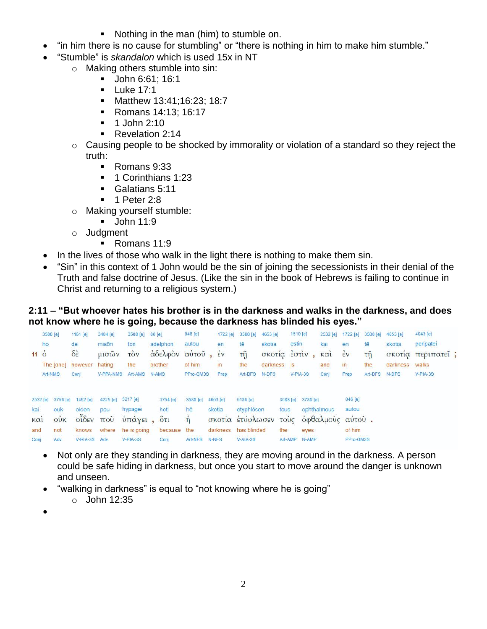- Nothing in the man (him) to stumble on.
- "in him there is no cause for stumbling" or "there is nothing in him to make him stumble."
- "Stumble" is *skandalon* which is used 15x in NT
	- o Making others stumble into sin:
		- Uohn 6:61; 16:1
		- $\blacksquare$  Luke 17:1
		- **Matthew 13:41;16:23; 18:7**
		- **Romans 14:13; 16:17**
		- $-1$  John 2:10
		- Revelation 2:14
	- o Causing people to be shocked by immorality or violation of a standard so they reject the truth:
		- Romans 9:33
		- <sup>1</sup> 1 Corinthians 1:23
		- Galatians 5:11
		- $\blacksquare$  1 Peter 2:8
	- o Making yourself stumble:
		- **John 11:9**
	- o Judgment
		- Romans 11:9
- In the lives of those who walk in the light there is nothing to make them sin.
- "Sin" in this context of 1 John would be the sin of joining the secessionists in their denial of the Truth and false doctrine of Jesus. (Like the sin in the book of Hebrews is failing to continue in Christ and returning to a religious system.)

## **2:11 – "But whoever hates his brother is in the darkness and walks in the darkness, and does not know where he is going, because the darkness has blinded his eyes."**

|                 | 3588 [e]                                    | 1161 [e]                | 3404 [e]          | 3588 [e]                | 80 [e]                                               | 846 [e]   | 1722 [e]             | 3588 [e]   | 4653 [e]      |       | 1510 [e]          | 2532 [e]    | 1722 [e]       | 3588 [e] | 4653 [e] | 4043 [e]          |  |
|-----------------|---------------------------------------------|-------------------------|-------------------|-------------------------|------------------------------------------------------|-----------|----------------------|------------|---------------|-------|-------------------|-------------|----------------|----------|----------|-------------------|--|
|                 | ho                                          | de.                     | misön             | ton                     | adelphon                                             | autou     | en                   | tē         | skotia        | estin |                   | kai         | en             | tē       | skotia   | peripatei         |  |
| $11\dot{\circ}$ |                                             | $\delta \dot{\epsilon}$ | μισών             | <b>TOV</b>              | αδελφον αυτού                                        |           | $\frac{1}{2}v$       | τñ         | σκοτία έστιν, |       |                   | $k\alpha i$ | $\frac{1}{2}v$ | τῆ       |          | σκοτία περιπατεί; |  |
|                 |                                             | The [one] however       | hating            | the                     | brother                                              | of him    | in                   | the        | darkness is   |       |                   | and         | $\mathsf{in}$  | the      | darkness | walks             |  |
|                 | Art-NMS                                     | Conj                    | V-PPA-NMS         | Art-AMS                 | N-AMS                                                | PPro-GM3S | Prep                 | Art-DFS    | N-DFS         |       | $V-PIA-3S$        | Conj        | Prep           | Art-DFS  | N-DFS    | $V-PIA-3S$        |  |
|                 | 2532 [e] 3756 [e]                           | 1492 [e]                | 4225 [e] 5217 [e] |                         | 3754 [e]                                             | 3588 [e]  | 4653 [e]             | 5186 [e]   |               |       | 3588 [e] 3788 [e] |             | 846 [e]        |          |          |                   |  |
| kai             | ouk                                         | oiden                   | pou               | hypagei                 | hoti                                                 | hē        | skotia               | etyphlösen |               | tous  |                   | ophthalmous | autou          |          |          |                   |  |
| καὶ             | $\dot{\text{o}}$ <b>V</b> $\ddot{\text{k}}$ | $o$ ιδεν που            |                   |                         | υπάγει, ότι ή σκοτία ετύφλωσεν τους οφθαλμους αυτού. |           |                      |            |               |       |                   |             |                |          |          |                   |  |
| and             | not                                         |                         |                   | knows where he is going | because the                                          |           | darkness has blinded |            |               | the   | eyes              |             | of him         |          |          |                   |  |
| Conj            | Adv                                         | V-RIA-3S Adv            |                   | $V-PIA-3S$              | Conj                                                 | Art-NFS   | N-NFS                | $V-AIA-3S$ |               |       | Art-AMP N-AMP     |             | PPro-GM3S      |          |          |                   |  |

- Not only are they standing in darkness, they are moving around in the darkness. A person could be safe hiding in darkness, but once you start to move around the danger is unknown and unseen.
- "walking in darkness" is equal to "not knowing where he is going"
	- o John 12:35
- $\bullet$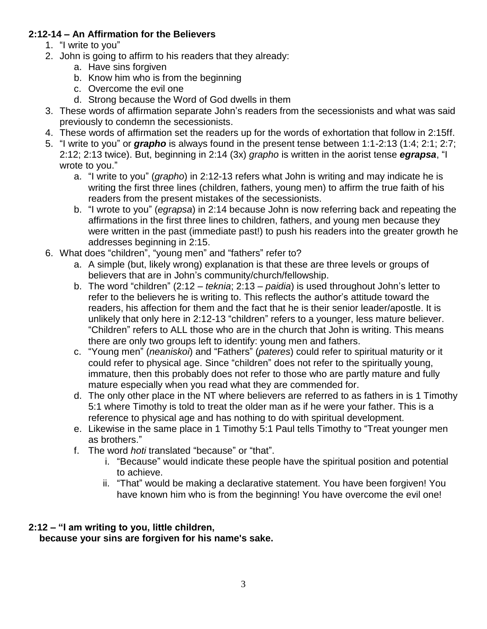## **2:12-14 – An Affirmation for the Believers**

- 1. "I write to you"
- 2. John is going to affirm to his readers that they already:
	- a. Have sins forgiven
	- b. Know him who is from the beginning
	- c. Overcome the evil one
	- d. Strong because the Word of God dwells in them
- 3. These words of affirmation separate John's readers from the secessionists and what was said previously to condemn the secessionists.
- 4. These words of affirmation set the readers up for the words of exhortation that follow in 2:15ff.
- 5. "I write to you" or *grapho* is always found in the present tense between 1:1-2:13 (1:4; 2:1; 2:7; 2:12; 2:13 twice). But, beginning in 2:14 (3x) *grapho* is written in the aorist tense *egrapsa*, "I wrote to you."
	- a. "I write to you" (*grapho*) in 2:12-13 refers what John is writing and may indicate he is writing the first three lines (children, fathers, young men) to affirm the true faith of his readers from the present mistakes of the secessionists.
	- b. "I wrote to you" (*egrapsa*) in 2:14 because John is now referring back and repeating the affirmations in the first three lines to children, fathers, and young men because they were written in the past (immediate past!) to push his readers into the greater growth he addresses beginning in 2:15.
- 6. What does "children", "young men" and "fathers" refer to?
	- a. A simple (but, likely wrong) explanation is that these are three levels or groups of believers that are in John's community/church/fellowship.
	- b. The word "children" (2:12 *teknia*; 2:13 *paidia*) is used throughout John's letter to refer to the believers he is writing to. This reflects the author's attitude toward the readers, his affection for them and the fact that he is their senior leader/apostle. It is unlikely that only here in 2:12-13 "children" refers to a younger, less mature believer. "Children" refers to ALL those who are in the church that John is writing. This means there are only two groups left to identify: young men and fathers.
	- c. "Young men" (*neaniskoi*) and "Fathers" (*pateres*) could refer to spiritual maturity or it could refer to physical age. Since "children" does not refer to the spiritually young, immature, then this probably does not refer to those who are partly mature and fully mature especially when you read what they are commended for.
	- d. The only other place in the NT where believers are referred to as fathers in is 1 Timothy 5:1 where Timothy is told to treat the older man as if he were your father. This is a reference to physical age and has nothing to do with spiritual development.
	- e. Likewise in the same place in 1 Timothy 5:1 Paul tells Timothy to "Treat younger men as brothers."
	- f. The word *hoti* translated "because" or "that".
		- i. "Because" would indicate these people have the spiritual position and potential to achieve.
		- ii. "That" would be making a declarative statement. You have been forgiven! You have known him who is from the beginning! You have overcome the evil one!

## **2:12 – "I am writing to you, little children, because your sins are forgiven for his name's sake.**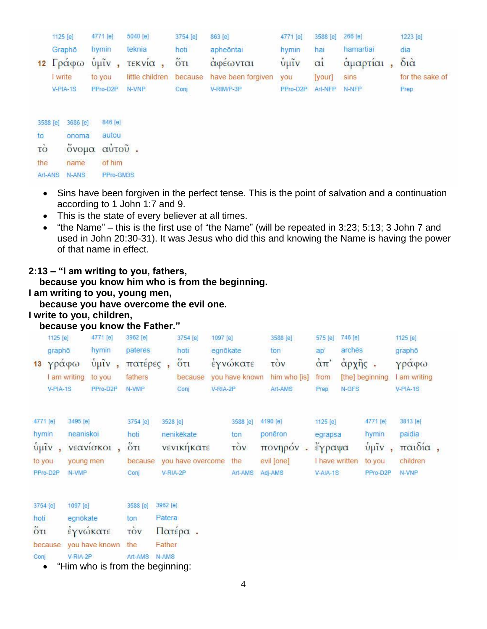| 1125 [e]   | 4771 [e] | 5040 [e]                   | 3754 [e] | 863 [e]                                    | 4771 [e]                          | 3588 [e] 266 [e] |               | 1223 [e]        |
|------------|----------|----------------------------|----------|--------------------------------------------|-----------------------------------|------------------|---------------|-----------------|
| Grapho     | hymin    | teknia                     | hoti     | apheontai                                  | hymin                             | hai              | hamartial     | dia             |
|            |          | 12 Γράφω ύμιν, τεκνία, ότι |          | αφέωνται                                   | $\hat{v}$ $\hat{\mu} \tilde{\nu}$ | $\alpha i$       | άμαρτίαι, διά |                 |
| write      | to you   |                            |          | little children because have been forgiven | you                               | [your]           | sins          | for the sake of |
| $V-PIA-1S$ | PPro-D2P | N-VNP                      | Conj     | V-RIM/P-3P                                 | PPro-D2P Art-NFP N-NFP            |                  |               | Prep            |
|            |          |                            |          |                                            |                                   |                  |               |                 |

| 3588 [e]      | 3686 [e]    | 846 [e]   |
|---------------|-------------|-----------|
| to            | onoma       | autou     |
| τò            | όνομα αυτού | ÷         |
| the           | name        | of him    |
| Art-ANS N-ANS |             | PPro-GM3S |

- Sins have been forgiven in the perfect tense. This is the point of salvation and a continuation according to 1 John 1:7 and 9.
- This is the state of every believer at all times.
- $\bullet$  "the Name" this is the first use of "the Name" (will be repeated in 3:23; 5:13; 3 John 7 and used in John 20:30-31). It was Jesus who did this and knowing the Name is having the power of that name in effect.

## **2:13 – "I am writing to you, fathers,**

 **because you know him who is from the beginning.**

## **I am writing to you, young men,**

 **because you have overcome the evil one.**

## **I write to you, children,**

#### **because you know the Father."**

| 1125 [e]<br>graphō<br>13<br>V-PIA-1S                                 | 4771 [e]<br>hymin<br>γράφω<br>I am writing<br>to you<br>PPro-D2P | $\tilde{v}$ $\mu \tilde{v}$ , | 3962 [e]<br>pateres<br>πατέρες<br>fathers<br>N-VMP |                    | 3754 [e]<br>hoti<br>$\ddot{\text{o}}$ <sub>Tl</sub><br>because<br>Coni | 1097 [e]<br>egnökate<br>V-RIA-2P | εγνώκατε<br>you have known               | 3588 [e]<br>ton<br>τòν<br>him who [is]<br>Art-AMS            | 575 [e]<br>ap'<br>$\alpha$ <sup>T</sup><br>from<br>Prep | 746 [e]<br>archés<br>αρχής.<br>N-GFS | [the] beginning                                    | 1125 [e]<br>graphō<br>γράφω<br>am writing<br>$V-PIA-1S$ |  |
|----------------------------------------------------------------------|------------------------------------------------------------------|-------------------------------|----------------------------------------------------|--------------------|------------------------------------------------------------------------|----------------------------------|------------------------------------------|--------------------------------------------------------------|---------------------------------------------------------|--------------------------------------|----------------------------------------------------|---------------------------------------------------------|--|
| 4771 [e]<br>hymin<br>$ν$ μιν<br>$\overline{ }$<br>to you<br>PPro-D2P | 3495 [e]<br>neaniskoi<br>νεανίσκοι<br>young men<br>N-VMP         |                               | 3754 [e]<br>hoti<br>$5\pi$<br>because<br>Conj      | 3528 [e]           | nenikēkate<br>νενικήκατε<br>you have overcome<br>V-RIA-2P              |                                  | 3588 [e]<br>ton<br>τòν<br>the<br>Art-AMS | 4190 [e]<br>poneron<br>πονηρόν<br>¥<br>evil [one]<br>Adj-AMS | 1125 [e]<br>egrapsa<br>έγραψα<br>V-AIA-1S               | I have written                       | 4771 [e]<br>hymin<br>$ν$ μιν<br>to you<br>PPro-D2P | 3813 [e]<br>paidia<br>παιδία,<br>children<br>N-VNP      |  |
| 3754 [e]<br>hoti                                                     | 1097 [e]<br>egnökate                                             |                               | 3588 [e]<br>ton                                    | 3962 [e]<br>Patera |                                                                        |                                  |                                          |                                                              |                                                         |                                      |                                                    |                                                         |  |

 $\overline{O}$ <sub>U</sub> έγνώκατε TOV Πατέρα.

because you have known the Father

V-RIA-2P Art-AMS N-AMS Conj

• "Him who is from the beginning: